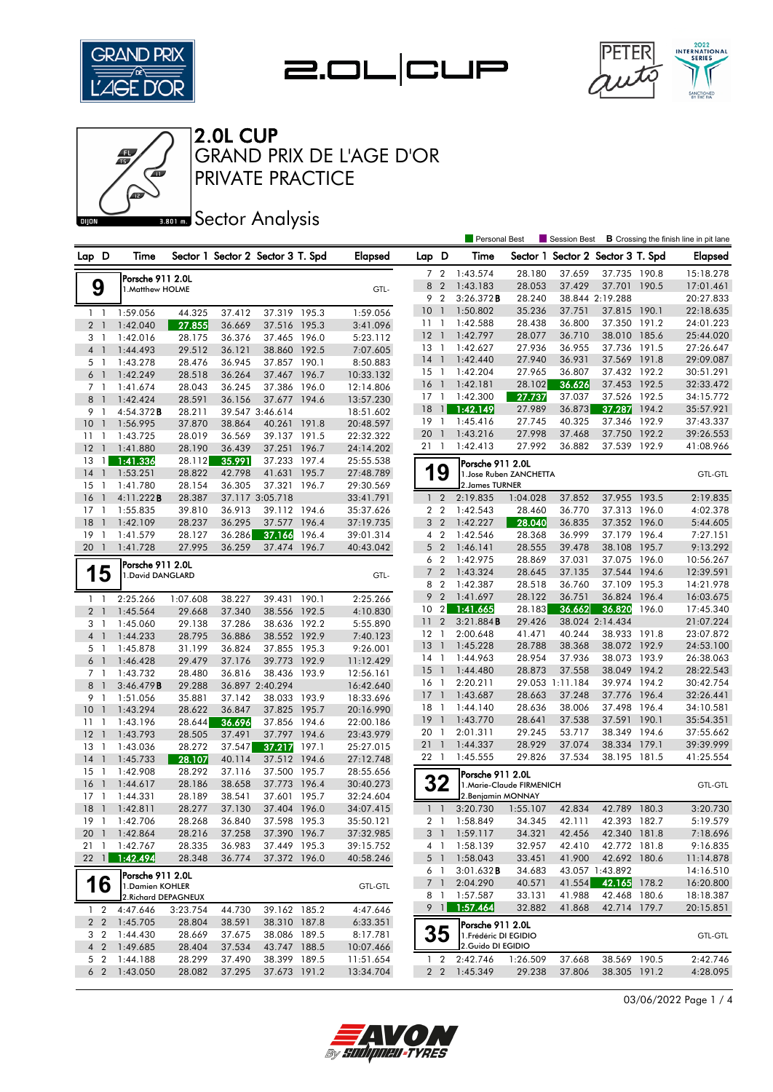







**Ban B** Sector Analysis

|                                  |                                       |                  |                  |                                   |                |                        |                |                               | <b>Personal Best</b>                        |                           | <b>Session Best</b> | <b>B</b> Crossing the finish line in pit lane |                |                        |
|----------------------------------|---------------------------------------|------------------|------------------|-----------------------------------|----------------|------------------------|----------------|-------------------------------|---------------------------------------------|---------------------------|---------------------|-----------------------------------------------|----------------|------------------------|
| Lap D                            | Time                                  |                  |                  | Sector 1 Sector 2 Sector 3 T. Spd |                | <b>Elapsed</b>         | Lap D          |                               | Time                                        | Sector 1                  |                     | Sector 2 Sector 3 T. Spd                      |                | <b>Elapsed</b>         |
|                                  | Porsche 911 2.0L                      |                  |                  |                                   |                |                        | 7 <sup>7</sup> | $\overline{2}$                | 1:43.574                                    | 28.180                    | 37.659              | 37.735 190.8                                  |                | 15:18.278              |
| 9                                | 1.Matthew HOLME                       |                  |                  |                                   |                | GTL-                   | 8 2            |                               | 1:43.183                                    | 28.053                    | 37.429              | 37.701                                        | 190.5          | 17:01.461              |
|                                  |                                       |                  |                  |                                   |                |                        | 9              | $\overline{2}$                | 3:26.372B                                   | 28.240                    |                     | 38.844 2:19.288                               |                | 20:27.833              |
| $1\quad$                         | 1:59.056                              | 44.325           | 37.412           | 37.319 195.3                      |                | 1:59.056               | 10             | $\overline{1}$                | 1:50.802                                    | 35.236                    | 37.751              | 37.815 190.1                                  |                | 22:18.635              |
| 2 <sub>1</sub>                   | 1:42.040                              | 27.855           | 36.669           | 37.516                            | 195.3          | 3:41.096               | $11-1$         |                               | 1:42.588                                    | 28.438                    | 36.800              | 37.350 191.2                                  |                | 24:01.223              |
| 3<br>$\overline{1}$              | 1:42.016                              | 28.175           | 36.376           | 37.465                            | 196.0          | 5:23.112               | 12             | $\overline{1}$                | 1:42.797                                    | 28.077                    | 36.710              | 38.010                                        | 185.6          | 25:44.020              |
| $\overline{4}$<br>$\overline{1}$ | 1:44.493                              | 29.512           | 36.121           | 38.860                            | 192.5          | 7:07.605               | 13             | $\overline{1}$                | 1:42.627                                    | 27.936                    | 36.955              | 37.736 191.5                                  |                | 27:26.647              |
| 5 1                              | 1:43.278                              | 28.476           | 36.945           | 37.857 190.1                      |                | 8:50.883               | 14             |                               | 1:42.440                                    | 27.940                    | 36.931              | 37.569                                        | 191.8          | 29:09.087              |
| 6<br>$\overline{1}$              | 1:42.249                              | 28.518           | 36.264           | 37.467                            | 196.7          | 10:33.132              | 15             | $\mathbf{1}$                  | 1:42.204                                    | 27.965                    | 36.807              | 37.432 192.2                                  |                | 30:51.291              |
| 7 1                              | 1:41.674                              | 28.043           | 36.245           | 37.386                            | 196.0          | 12:14.806              | 16             | $\overline{1}$                | 1:42.181                                    | 28.102                    | 36.626              | 37.453 192.5                                  |                | 32:33.472              |
| 8<br>$\mathbf{1}$                | 1:42.424                              | 28.591           | 36.156           | 37.677                            | 194.6          | 13:57.230              | $17-1$<br>18   |                               | 1:42.300                                    | 27.737<br>27.989          | 37.037<br>36.873    | 37.526 192.5                                  |                | 34:15.772              |
| 9<br>1                           | 4:54.372B                             | 28.211           |                  | 39.547 3:46.614                   |                | 18:51.602              | 19             | $\frac{1}{2}$<br>$\mathbf{1}$ | 1:42.149<br>1:45.416                        | 27.745                    | 40.325              | 37.287<br>37.346                              | 194.2<br>192.9 | 35:57.921              |
| 10<br>$\bigcirc$                 | 1:56.995                              | 37.870           | 38.864           | 40.261                            | 191.8          | 20:48.597              | 20             | $\mathbf{1}$                  | 1:43.216                                    | 27.998                    | 37.468              | 37.750 192.2                                  |                | 37:43.337<br>39:26.553 |
| $\overline{1}$<br>11             | 1:43.725                              | 28.019           | 36.569           | 39.137                            | 191.5          | 22:32.322              | 21 1           |                               | 1:42.413                                    | 27.992                    | 36.882              | 37.539                                        | 192.9          | 41:08.966              |
| 12<br>$\mathbf{1}$               | 1:41.880                              | 28.190           | 36.439           | 37.251                            | 196.7          | 24:14.202              |                |                               |                                             |                           |                     |                                               |                |                        |
| 13<br>1<br>14<br>$\mathbf{1}$    | 1:41.336                              | 28.112<br>28.822 | 35.991<br>42.798 | 37.233<br>41.631                  | 197.4<br>195.7 | 25:55.538              |                | 9                             | Porsche 911 2.0L                            |                           |                     |                                               |                |                        |
| 15<br>1                          | 1:53.251<br>1:41.780                  | 28.154           | 36.305           | 37.321                            | 196.7          | 27:48.789<br>29:30.569 |                |                               | 2. James TURNER                             | 1. Jose Ruben ZANCHETTA   |                     |                                               |                | <b>GTL-GTL</b>         |
| 16<br>$\mathbf{1}$               | 4:11.222B                             | 28.387           |                  | 37.117 3:05.718                   |                | 33:41.791              |                | $1\quad 2$                    | 2:19.835                                    | 1:04.028                  | 37.852              | 37.955 193.5                                  |                | 2:19.835               |
| $17-1$                           | 1:55.835                              | 39.810           | 36.913           | 39.112 194.6                      |                | 35:37.626              |                | 2 <sub>2</sub>                | 1:42.543                                    | 28.460                    | 36.770              | 37.313 196.0                                  |                | 4:02.378               |
| 18<br>$\mathbf{1}$               | 1:42.109                              | 28.237           | 36.295           | 37.577                            | 196.4          | 37:19.735              | 3              | $\overline{2}$                | 1:42.227                                    | 28.040                    | 36.835              | 37.352                                        | 196.0          | 5:44.605               |
| 19<br>-1                         | 1:41.579                              | 28.127           | 36.286           | 37.166                            | 196.4          | 39:01.314              |                | 4 <sup>2</sup>                | 1:42.546                                    | 28.368                    | 36.999              | 37.179 196.4                                  |                | 7:27.151               |
| 20<br>$\mathbf{1}$               | 1:41.728                              | 27.995           | 36.259           | 37.474                            | 196.7          | 40:43.042              | 5 <sub>2</sub> |                               | 1:46.141                                    | 28.555                    | 39.478              | 38.108                                        | 195.7          | 9:13.292               |
|                                  |                                       |                  |                  |                                   |                |                        | 6 <sub>2</sub> |                               | 1:42.975                                    | 28.869                    | 37.031              | 37.075                                        | 196.0          | 10:56.267              |
| 5<br>1                           | Porsche 911 2.0L<br>1. David DANGLARD |                  |                  |                                   |                | GTL-                   |                | 7 <sup>2</sup>                | 1:43.324                                    | 28.645                    | 37.135              | 37.544 194.6                                  |                | 12:39.591              |
|                                  |                                       |                  |                  |                                   |                |                        | 8              | $\overline{2}$                | 1:42.387                                    | 28.518                    | 36.760              | 37.109                                        | 195.3          | 14:21.978              |
| 1<br>$\overline{1}$              | 2:25.266                              | 1:07.608         | 38.227           | 39.431                            | 190.1          | 2:25.266               | 9              | $\overline{2}$                | 1:41.697                                    | 28.122                    | 36.751              | 36.824                                        | 196.4          | 16:03.675              |
| 2 <sub>1</sub>                   | 1:45.564                              | 29.668           | 37.340           | 38.556                            | 192.5          | 4:10.830               | 10             | $\overline{2}$                | 1:41.665                                    | 28.183                    | 36.662              | 36.820                                        | 196.0          | 17:45.340              |
| 3<br>$\overline{1}$              | 1:45.060                              | 29.138           | 37.286           | 38.636                            | 192.2          | 5:55.890               | 11             | $\overline{2}$                | 3:21.884B                                   | 29.426                    |                     | 38.024 2:14.434                               |                | 21:07.224              |
| $\overline{4}$<br>$\overline{1}$ | 1:44.233                              | 28.795           | 36.886           | 38.552 192.9                      |                | 7:40.123               | $12 \,$        | $\mathbf{1}$                  | 2:00.648                                    | 41.471                    | 40.244              | 38.933                                        | 191.8          | 23:07.872              |
| 5 <sub>1</sub>                   | 1:45.878                              | 31.199           | 36.824           | 37.855 195.3                      |                | 9:26.001               | 13             | $\overline{1}$                | 1:45.228                                    | 28.788                    | 38.368              | 38.072 192.9                                  |                | 24:53.100              |
| 6<br>$\overline{1}$              | 1:46.428                              | 29.479           | 37.176           | 39.773 192.9                      |                | 11:12.429              | $14-1$         |                               | 1:44.963                                    | 28.954                    | 37.936              | 38.073 193.9                                  |                | 26:38.063              |
| 7 <sub>1</sub>                   | 1:43.732                              | 28.480           | 36.816           | 38.436                            | 193.9          | 12:56.161              | 15             | $\overline{1}$                | 1:44.480                                    | 28.873                    | 37.558              | 38.049                                        | 194.2          | 28:22.543              |
| 8<br>$\overline{1}$              | 3:46.479B                             | 29.288           |                  | 36.897 2:40.294                   |                | 16:42.640              | 16             | $\mathbf{1}$                  | 2:20.211                                    |                           | 29.053 1:11.184     | 39.974 194.2                                  |                | 30:42.754              |
| 9<br>$\overline{1}$              | 1:51.056                              | 35.881           | 37.142           | 38.033 193.9                      |                | 18:33.696              | -17            | $\mathbf{1}$                  | 1:43.687                                    | 28.663                    | 37.248              | 37.776                                        | 196.4          | 32:26.441              |
| 10<br>$\overline{1}$             | 1:43.294                              | 28.622           | 36.847           | 37.825                            | 195.7          | 20:16.990              | 18             | $\mathbf{1}$                  | 1:44.140                                    | 28.636                    | 38.006              | 37.498                                        | 196.4          | 34:10.581              |
| 11<br>-1                         | 1:43.196                              | 28.644           | 36.696           | 37.856                            | 194.6          | 22:00.186              | 19             | $\overline{1}$                | 1:43.770                                    | 28.641                    | 37.538              | 37.591                                        | 190.1          | 35:54.351              |
| 12<br>$\mathbf{1}$               | 1:43.793                              | 28.505           | 37.491           | 37.797                            | 194.6          | 23:43.979              | 20             | $\overline{1}$                | 2:01.311                                    | 29.245                    | 53.717              | 38.349                                        | 194.6          | 37:55.662              |
| 13<br>1                          | 1:43.036                              | 28.272           | 37.547           | 37.217                            | 197.1          | 25:27.015              | 21             | $\overline{1}$                | 1:44.337                                    | 28.929                    | 37.074              | 38.334                                        | 179.1          | 39:39.999              |
| 14<br>$\mathbf{1}$               | 1:45.733                              | 28.107           | 40.114           | 37.512                            | 194.6          | 27:12.748              | 22 1           |                               | 1:45.555                                    | 29.826                    | 37.534              | 38.195                                        | 181.5          | 41:25.554              |
| 15<br>$\overline{1}$             | 1:42.908                              | 28.292           | 37.116           | 37.500                            | 195.7          | 28:55.656              |                |                               | Porsche 911 2.0L                            |                           |                     |                                               |                |                        |
| 16<br>$\mathbf{1}$               | 1:44.617                              | 28.186           | 38.658           | 37.773                            | 196.4          | 30:40.273              |                | 32                            |                                             | 1. Marie-Claude FIRMENICH |                     |                                               |                | <b>GTL-GTL</b>         |
| 17<br>1                          | 1:44.331                              | 28.189           | 38.541           | 37.601                            | 195.7          | 32:24.604              |                |                               | 2.Benjamin MONNAY                           |                           |                     |                                               |                |                        |
| 18<br>$\overline{1}$             | 1:42.811                              | 28.277           | 37.130           | 37.404 196.0                      |                | 34:07.415              | $1\quad$       |                               | 3:20.730                                    | 1:55.107                  | 42.834              | 42.789 180.3                                  |                | 3:20.730               |
| 19 1                             | 1:42.706                              | 28.268           | 36.840           | 37.598 195.3                      |                | 35:50.121              |                | 2 1                           | 1:58.849                                    | 34.345                    | 42.111              | 42.393 182.7                                  |                | 5:19.579               |
| 20 1                             | 1:42.864                              | 28.216           | 37.258           | 37.390 196.7                      |                | 37:32.985              | 3 <sup>1</sup> |                               | 1:59.117<br>4 1 1:58.139                    | 34.321                    | 42.456              | 42.340 181.8                                  |                | 7:18.696               |
| 211<br>$22$ 1                    | 1:42.767<br>1:42.494                  | 28.335<br>28.348 | 36.983           | 37.449 195.3<br>37.372 196.0      |                | 39:15.752              |                |                               | 1:58.043                                    | 32.957                    | 42.410<br>41.900    | 42.772 181.8<br>42.692 180.6                  |                | 9:16.835               |
|                                  |                                       |                  | 36.774           |                                   |                | 40:58.246              |                | 5 <sup>1</sup><br>6 1         | 3:01.632B                                   | 33.451<br>34.683          |                     | 43.057 1:43.892                               |                | 11:14.878<br>14:16.510 |
|                                  | Porsche 911 2.0L                      |                  |                  |                                   |                |                        |                | 7 <sup>1</sup>                | 2:04.290                                    | 40.571                    | 41.554              | 42.165 178.2                                  |                | 16:20.800              |
| 16                               | 1. Damien KOHLER                      |                  |                  |                                   |                | <b>GTL-GTL</b>         |                | 81                            | 1:57.587                                    | 33.131                    | 41.988              | 42.468 180.6                                  |                | 18:18.387              |
|                                  | 2. Richard DEPAGNEUX                  |                  |                  |                                   |                |                        |                | $9 \mid$                      | 1:57.464                                    | 32.882                    | 41.868              | 42.714 179.7                                  |                | 20:15.851              |
| $1\quad 2$                       | 4:47.646<br>2 2 1:45.705              | 3:23.754         | 44.730           | 39.162 185.2<br>38.310 187.8      |                | 4:47.646               |                |                               |                                             |                           |                     |                                               |                |                        |
| 3 <sub>2</sub>                   | 1:44.430                              | 28.804<br>28.669 | 38.591           | 38.086 189.5                      |                | 6:33.351               |                | 35                            | Porsche 911 2.0L                            |                           |                     |                                               |                |                        |
| $4\quad2$                        | 1:49.685                              | 28.404           | 37.675<br>37.534 | 43.747 188.5                      |                | 8:17.781<br>10:07.466  |                |                               | 1. Frédéric DI EGIDIO<br>2. Guido DI EGIDIO |                           |                     |                                               |                | <b>GTL-GTL</b>         |
| 5 <sub>2</sub>                   | 1:44.188                              | 28.299           | 37.490           | 38.399 189.5                      |                | 11:51.654              | 1.             | 2                             | 2:42.746                                    | 1:26.509                  | 37.668              | 38.569 190.5                                  |                | 2:42.746               |
| 6 <sub>2</sub>                   | 1:43.050                              | 28.082           | 37.295           | 37.673 191.2                      |                | 13:34.704              |                | $2\quad 2$                    | 1:45.349                                    | 29.238                    | 37.806              | 38.305 191.2                                  |                | 4:28.095               |
|                                  |                                       |                  |                  |                                   |                |                        |                |                               |                                             |                           |                     |                                               |                |                        |

03/06/2022 Page 1 / 4

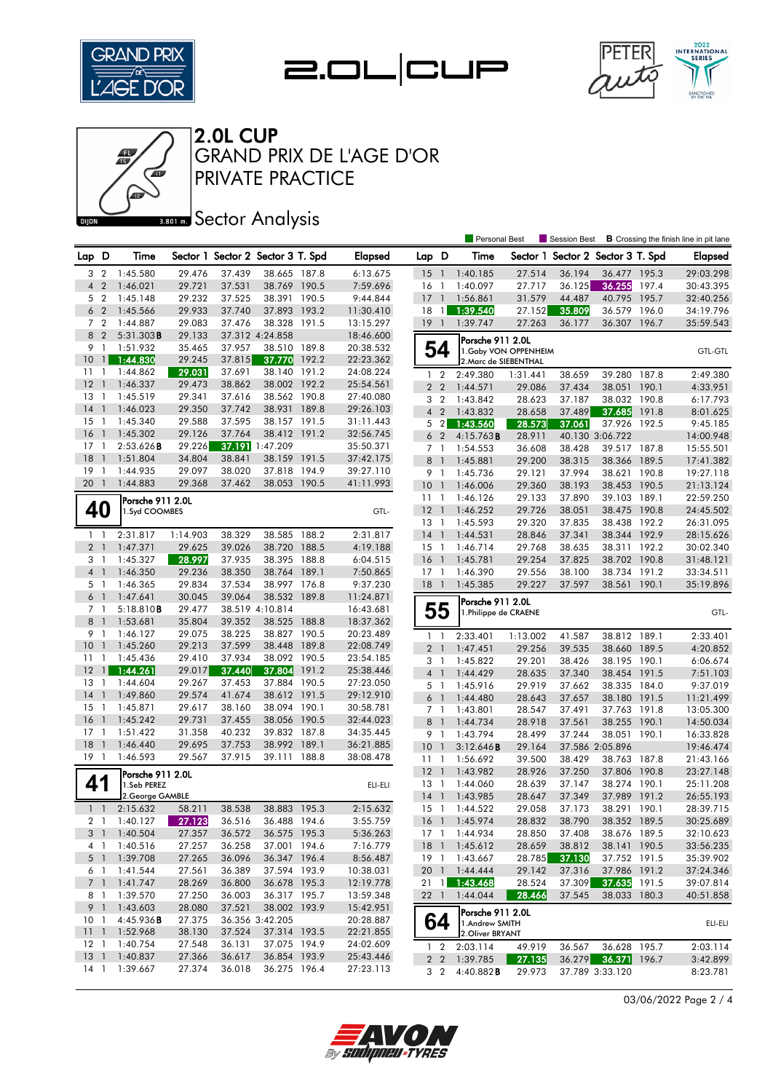







## **Banks** Sector Analysis

|                       |                                |                      |                  |                  |                                   |       |                        |                 |                              | <b>Personal Best</b>               |                  | Session Best                      |                              |                | <b>B</b> Crossing the finish line in pit lane |
|-----------------------|--------------------------------|----------------------|------------------|------------------|-----------------------------------|-------|------------------------|-----------------|------------------------------|------------------------------------|------------------|-----------------------------------|------------------------------|----------------|-----------------------------------------------|
| Lap D                 |                                | Time                 |                  |                  | Sector 1 Sector 2 Sector 3 T. Spd |       | <b>Elapsed</b>         | Lap D           |                              | Time                               |                  | Sector 1 Sector 2 Sector 3 T. Spd |                              |                | <b>Elapsed</b>                                |
| 3                     | $\overline{2}$                 | 1:45.580             | 29.476           | 37.439           | 38.665 187.8                      |       | 6:13.675               | -15             | $\overline{1}$               | 1:40.185                           | 27.514           | 36.194                            | 36.477 195.3                 |                | 29:03.298                                     |
| $\overline{4}$        | $\overline{2}$                 | 1:46.021             | 29.721           | 37.531           | 38.769 190.5                      |       | 7:59.696               | 16              | $\mathbf{1}$                 | 1:40.097                           | 27.717           | 36.125                            | 36.255                       | 197.4          | 30:43.395                                     |
| 5                     | $\overline{2}$                 | 1:45.148             | 29.232           | 37.525           | 38.391 190.5                      |       | 9:44.844               | 17              | $\mathbf{1}$                 | 1:56.861                           | 31.579           | 44.487                            | 40.795                       | 195.7          | 32:40.256                                     |
| 6 <sub>2</sub>        |                                | 1:45.566             | 29.933           | 37.740           | 37.893                            | 193.2 | 11:30.410              | 18              | $\overline{1}$               | 1:39.540                           | 27.152           | 35.809                            | 36.579                       | 196.0          | 34:19.796                                     |
| 7 <sup>2</sup>        |                                | 1:44.887             | 29.083           | 37.476           | 38.328 191.5                      |       | 13:15.297              | $19-1$          |                              | 1:39.747                           | 27.263           | 36.177                            | 36.307 196.7                 |                | 35:59.543                                     |
| 8                     | $\overline{2}$                 | $5:31.303$ B         | 29.133           |                  | 37.312 4:24.858                   |       | 18:46.600              |                 |                              | Porsche 911 2.0L                   |                  |                                   |                              |                |                                               |
| 9                     | $\overline{1}$                 | 1:51.932             | 35.465           | 37.957           | 38.510 189.8                      |       | 20:38.532              |                 | 54                           | 1. Gaby VON OPPENHEIM              |                  |                                   |                              |                | <b>GTL-GTL</b>                                |
| 10                    | $\overline{1}$                 | 1:44.830             | 29.245           | 37.815           | 37.770                            | 192.2 | 22:23.362              |                 |                              | 2. Marc de SIEBENTHAL              |                  |                                   |                              |                |                                               |
| 11                    | $\mathbf{1}$                   | 1:44.862             | 29.031           | 37.691           | 38.140                            | 191.2 | 24:08.224              | 1               | $\overline{2}$               | 2:49.380                           | 1:31.441         | 38.659                            | 39.280                       | 187.8          | 2:49.380                                      |
| 12                    | $\overline{\phantom{a}}$       | 1:46.337             | 29.473           | 38.862           | 38.002 192.2                      |       | 25:54.561              | 2 <sub>2</sub>  |                              | 1:44.571                           | 29.086           | 37.434                            | 38.051                       | 190.1          | 4:33.951                                      |
| 13                    | $\mathbf{1}$                   | 1:45.519             | 29.341           | 37.616           | 38.562 190.8                      |       | 27:40.080              | 3               | $\overline{2}$               | 1:43.842                           | 28.623           | 37.187                            | 38.032                       | 190.8          | 6:17.793                                      |
| 14                    | $\overline{1}$                 | 1:46.023             | 29.350           | 37.742           | 38.931                            | 189.8 | 29:26.103              | 4 <sup>2</sup>  |                              | 1:43.832                           | 28.658           | 37.489                            | 37.685                       | 191.8          | 8:01.625                                      |
| 15                    | $\mathbf{1}$                   | 1:45.340             | 29.588           | 37.595           | 38.157 191.5                      |       | 31:11.443              | 5               | $\overline{2}$               | 1:43.560                           | 28.573           | 37.061                            | 37.926                       | 192.5          | 9:45.185                                      |
| 16                    | $\overline{1}$                 | 1:45.302             | 29.126           | 37.764           | 38.412 191.2                      |       | 32:56.745              | 6               | $\overline{2}$               | $4:15.763$ <b>B</b>                | 28.911           |                                   | 40.130 3:06.722              |                | 14:00.948                                     |
| 17                    | $\mathbf{1}$                   | 2:53.626B            | 29.226           |                  | 37.191 1:47.209                   |       | 35:50.371              | 7 <sub>1</sub>  |                              | 1:54.553                           | 36.608           | 38.428                            | 39.517 187.8                 |                | 15:55.501                                     |
| 18                    | $\overline{\phantom{a}}$       | 1:51.804             | 34.804           | 38.841           | 38.159                            | 191.5 | 37:42.175              | 8               | $\mathbf{1}$                 | 1:45.881                           | 29.200           | 38.315                            | 38.366                       | 189.5          | 17:41.382                                     |
| 19                    | $\overline{1}$                 | 1:44.935             | 29.097           | 38.020           | 37.818                            | 194.9 | 39:27.110              | 9               | $\overline{1}$               | 1:45.736                           | 29.121           | 37.994                            | 38.621                       | 190.8          | 19:27.118                                     |
| 20                    | $\overline{1}$                 | 1:44.883             | 29.368           | 37.462           | 38.053                            | 190.5 | 41:11.993              | 10 <sup>°</sup> | $\overline{1}$               | 1:46.006                           | 29.360           | 38.193                            | 38.453                       | 190.5          | 21:13.124                                     |
|                       |                                | Porsche 911 2.0L     |                  |                  |                                   |       |                        | 11              | $\overline{\phantom{0}}$     | 1:46.126                           | 29.133           | 37.890                            | 39.103                       | 189.1          | 22:59.250                                     |
| 40                    |                                | 1.Syd COOMBES        |                  |                  |                                   |       | GTL-                   | 12              | $\overline{1}$               | 1:46.252                           | 29.726           | 38.051                            | 38.475 190.8                 |                | 24:45.502                                     |
|                       |                                |                      |                  |                  |                                   |       |                        | 13              | -1                           | 1:45.593                           | 29.320           | 37.835                            | 38.438                       | 192.2          | 26:31.095                                     |
| $1 \quad 1$           |                                | 2:31.817             | 1:14.903         | 38.329           | 38.585 188.2                      |       | 2:31.817               | 14              | $\overline{1}$               | 1:44.531                           | 28.846           | 37.341                            | 38.344 192.9                 |                | 28:15.626                                     |
| $\overline{2}$        | $\overline{1}$                 | 1:47.371             | 29.625           | 39.026           | 38.720                            | 188.5 | 4:19.188               | 15              | -1                           | 1:46.714                           | 29.768           | 38.635                            | 38.311                       | 192.2          | 30:02.340                                     |
| 3                     | $\overline{1}$                 | 1:45.327             | 28.997           | 37.935           | 38.395                            | 188.8 | 6:04.515               | 16              | $\overline{1}$               | 1:45.781                           | 29.254           | 37.825                            | 38.702 190.8                 |                | 31:48.121                                     |
| 4 <sup>1</sup>        |                                | 1:46.350             | 29.236           | 38.350           | 38.764 189.1                      |       | 7:50.865               | $17-1$          |                              | 1:46.390                           | 29.556           | 38.100                            | 38.734 191.2                 |                | 33:34.511                                     |
| 5                     | $\overline{1}$                 | 1:46.365             | 29.834           | 37.534           | 38.997 176.8                      |       | 9:37.230               | 18              | $\overline{1}$               | 1:45.385                           | 29.227           | 37.597                            | 38.561                       | 190.1          | 35:19.896                                     |
| 6 <sup>1</sup>        |                                | 1:47.641             | 30.045           | 39.064           | 38.532                            | 189.8 | 11:24.871              |                 |                              | Porsche 911 2.0L                   |                  |                                   |                              |                |                                               |
| $7^{\circ}$           | $\mathbf{1}$                   | $5:18.810$ <b>B</b>  | 29.477           |                  | 38.519 4:10.814                   |       | 16:43.681              |                 | 55                           | 1. Philippe de CRAENE              |                  |                                   |                              |                | GTL-                                          |
| 8                     | $\overline{1}$                 | 1:53.681             | 35.804           | 39.352           | 38.525                            | 188.8 | 18:37.362              |                 |                              |                                    |                  |                                   |                              |                |                                               |
| 9                     | $\mathbf{1}$                   | 1:46.127             | 29.075           | 38.225           | 38.827                            | 190.5 | 20:23.489              | $1\quad$        |                              | 2:33.401                           | 1:13.002         | 41.587                            | 38.812 189.1                 |                | 2:33.401                                      |
| 10                    | $\overline{\phantom{a}}$       | 1:45.260             | 29.213           | 37.599           | 38.448                            | 189.8 | 22:08.749              | $\overline{2}$  |                              | 1:47.451                           | 29.256           | 39.535                            | 38.660                       | 189.5          | 4:20.852                                      |
| 11                    | $\overline{1}$                 | 1:45.436             | 29.410           | 37.934           | 38.092 190.5                      |       | 23:54.185              | 3               | $\overline{1}$               | 1:45.822                           | 29.201           | 38.426                            | 38.195 190.1                 |                | 6:06.674                                      |
| 12                    | $\mathbf{u}$                   | 1:44.261             | 29.017           | 37.440           | 37.804                            | 191.2 | 25:38.446              | 4               | $\overline{1}$               | 1:44.429                           | 28.635           | 37.340                            | 38.454 191.5                 |                | 7:51.103                                      |
| 13                    | $\mathbf{1}$                   | 1:44.604             | 29.267           | 37.453           | 37.884                            | 190.5 | 27:23.050              | 5 1             |                              | 1:45.916                           | 29.919           | 37.662                            | 38.335 184.0                 |                | 9:37.019                                      |
| 14<br>15              | $\overline{\phantom{a}}$<br>-1 | 1:49.860             | 29.574           | 41.674           | 38.612 191.5                      | 190.1 | 29:12.910              | 6               | $\overline{1}$               | 1:44.480                           | 28.643           | 37.657                            | 38.180 191.5                 |                | 11:21.499                                     |
|                       | $\overline{1}$                 | 1:45.871             | 29.617           | 38.160           | 38.094<br>38.056 190.5            |       | 30:58.781              | $\overline{7}$  | -1                           | 1:43.801                           | 28.547           | 37.491                            | 37.763 191.8                 |                | 13:05.300                                     |
| 16<br>17              | $\overline{1}$                 | 1:45.242<br>1:51.422 | 29.731<br>31.358 | 37.455<br>40.232 | 39.832 187.8                      |       | 32:44.023<br>34:35.445 | 8               | -1                           | 1:44.734                           | 28.918           | 37.561                            | 38.255 190.1                 |                | 14:50.034                                     |
| 18                    | $\overline{1}$                 | 1:46.440             | 29.695           | 37.753           | 38.992                            | 189.1 | 36:21.885              | 9               | - 1                          | 1:43.794                           | 28.499           | 37.244                            | 38.051                       | 190.1          | 16:33.828                                     |
| 19                    | $\overline{1}$                 | 1:46.593             | 29.567           | 37.915           | 39.111                            | 188.8 | 38:08.478              | 10              | $\overline{1}$               | 3:12.646B                          | 29.164           |                                   | 37.586 2:05.896              |                | 19:46.474                                     |
|                       |                                |                      |                  |                  |                                   |       |                        | $11-1$          |                              | 1:56.692                           | 39.500           | 38.429                            | 38.763 187.8                 |                | 21:43.166                                     |
|                       |                                | Porsche 911 2.0L     |                  |                  |                                   |       |                        | $12-1$          |                              | 1:43.982                           | 28.926           | 37.250                            | 37.806                       | 190.8          | 23:27.148                                     |
| 41                    |                                | 1.Seb PEREZ          |                  |                  |                                   |       | ELI-ELI                | 13              | -1                           | 1:44.060                           | 28.639           | 37.147                            | 38.274 190.1                 |                | 25:11.208                                     |
| $1\quad1$             |                                | 2. George GAMBLE     |                  | 38.538           | 38.883 195.3                      |       |                        | 14<br>15        | $\overline{1}$               | 1:43.985                           | 28.647<br>29.058 | 37.349                            | 37.989<br>38.291             | 191.2<br>190.1 | 26:55.193                                     |
|                       |                                | 2:15.632             | 58.211           |                  |                                   |       | 2:15.632               |                 |                              | 1:44.522                           |                  | 37.173                            |                              |                | 28:39.715                                     |
| 2 1                   |                                | 1:40.127             | 27.123           | 36.516           | 36.488 194.6                      |       | 3:55.759               |                 |                              | 16 1 1:45.974                      | 28.832           | 38.790                            | 38.352 189.5<br>38.676 189.5 |                | 30:25.689                                     |
| 3 <sup>1</sup><br>4 1 |                                | 1:40.504<br>1:40.516 | 27.357<br>27.257 | 36.572<br>36.258 | 36.575 195.3<br>37.001 194.6      |       | 5:36.263<br>7:16.779   |                 |                              | 17 1 1:44.934<br>18 1 1:45.612     | 28.850<br>28.659 | 37.408<br>38.812                  | 38.141 190.5                 |                | 32:10.623<br>33:56.235                        |
| 5 <sub>1</sub>        |                                | 1:39.708             | 27.265           | 36.096           | 36.347 196.4                      |       | 8:56.487               | 19 1            |                              | 1:43.667                           | 28.785           | 37.130                            | 37.752 191.5                 |                | 35:39.902                                     |
| 6 1                   |                                | 1:41.544             | 27.561           | 36.389           | 37.594 193.9                      |       | 10:38.031              |                 |                              | 20 1 1:44.444                      | 29.142           | 37.316                            | 37.986 191.2                 |                | 37:24.346                                     |
|                       | 7 <sup>1</sup>                 | 1:41.747             | 28.269           | 36.800           | 36.678 195.3                      |       | 12:19.778              | $21 \quad 1$    |                              | 1:43.468                           | 28.524           | 37.309                            | 37.635 191.5                 |                | 39:07.814                                     |
| 8 1                   |                                | 1:39.570             | 27.250           | 36.003           | 36.317 195.7                      |       | 13:59.348              | 22 1            |                              | 1:44.044                           | 28.466           | 37.545                            | 38.033 180.3                 |                | 40:51.858                                     |
|                       |                                | 9 1 1:43.603         | 28.080           | 37.521           | 38.002 193.9                      |       | 15:42.951              |                 |                              |                                    |                  |                                   |                              |                |                                               |
| 10 <sub>1</sub>       |                                | 4:45.936B            | 27.375           |                  | 36.356 3:42.205                   |       | 20:28.887              |                 |                              | Porsche 911 2.0L                   |                  |                                   |                              |                |                                               |
|                       |                                | 11 1:52.968          | 38.130           | 37.524           | 37.314 193.5                      |       | 22:21.855              |                 | 64                           | 1.Andrew SMITH<br>2. Oliver BRYANT |                  |                                   |                              |                | ELI-ELI                                       |
| $12-1$                |                                | 1:40.754             | 27.548           | 36.131           | 37.075 194.9                      |       | 24:02.609              |                 |                              | 2:03.114                           |                  |                                   | 36.628 195.7                 |                | 2:03.114                                      |
| $13-1$                |                                | 1:40.837             | 27.366           | 36.617           | 36.854 193.9                      |       | 25:43.446              |                 | $1\quad 2$<br>2 <sub>2</sub> | 1:39.785                           | 49.919<br>27.135 | 36.567<br>36.279                  | 36.371 196.7                 |                | 3:42.899                                      |
| $14-1$                |                                | 1:39.667             | 27.374           | 36.018           | 36.275 196.4                      |       | 27:23.113              |                 | 3 2                          | 4:40.882B                          | 29.973           |                                   | 37.789 3:33.120              |                | 8:23.781                                      |
|                       |                                |                      |                  |                  |                                   |       |                        |                 |                              |                                    |                  |                                   |                              |                |                                               |

03/06/2022 Page 2 / 4

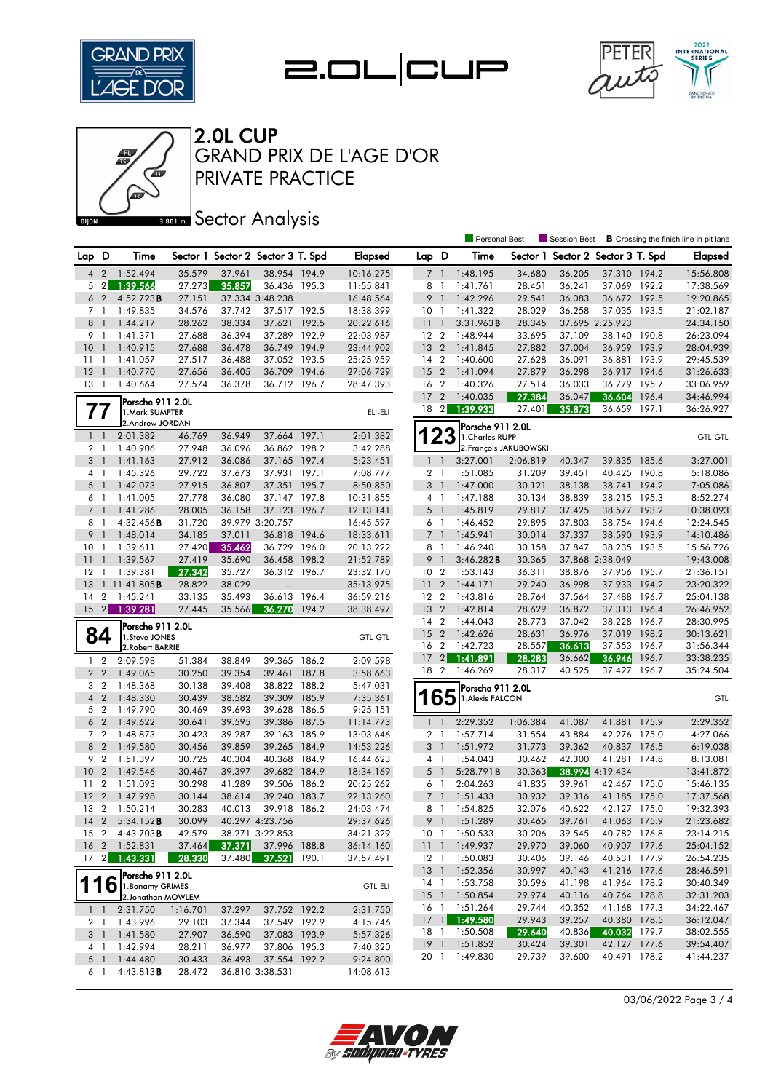







## **Bector Analysis**

|                 |                |                                      |          |        |                                   |       |                |                 | <b>Personal Best</b> |                                      |                        | Session Best                      |                 | <b>B</b> Crossing the finish line in pit lane |                |
|-----------------|----------------|--------------------------------------|----------|--------|-----------------------------------|-------|----------------|-----------------|----------------------|--------------------------------------|------------------------|-----------------------------------|-----------------|-----------------------------------------------|----------------|
| Lap D           |                | Time                                 |          |        | Sector 1 Sector 2 Sector 3 T. Spd |       | <b>Elapsed</b> | Lap D           |                      | Time                                 |                        | Sector 1 Sector 2 Sector 3 T. Spd |                 |                                               | Elapsed        |
| 4               | $\overline{2}$ | 1:52.494                             | 35.579   | 37.961 | 38.954 194.9                      |       | 10:16.275      | $\overline{7}$  | $\overline{1}$       | 1:48.195                             | 34.680                 | 36.205                            | 37.310 194.2    |                                               | 15:56.808      |
|                 | $5 \quad 2$    | 1:39.566                             | 27.273   | 35.857 | 36.436 195.3                      |       | 11:55.841      | 8               | $\overline{1}$       | 1:41.761                             | 28.451                 | 36.241                            | 37.069 192.2    |                                               | 17:38.569      |
| 6               | $\overline{2}$ | 4:52.723B                            | 27.151   |        | 37.334 3:48.238                   |       | 16:48.564      | 9 <sub>1</sub>  |                      | 1:42.296                             | 29.541                 | 36.083                            | 36.672 192.5    |                                               | 19:20.865      |
| 7 <sub>1</sub>  |                | 1:49.835                             | 34.576   | 37.742 | 37.517 192.5                      |       | 18:38.399      | 10              | $\overline{1}$       | 1:41.322                             | 28.029                 | 36.258                            | 37.035 193.5    |                                               | 21:02.187      |
| 8               | $\overline{1}$ | 1:44.217                             | 28.262   | 38.334 | 37.621 192.5                      |       | 20:22.616      | $11-1$          |                      | 3:31.963B                            | 28.345                 |                                   | 37.695 2:25.923 |                                               | 24:34.150      |
| 9               | $\overline{1}$ | 1:41.371                             | 27.688   | 36.394 | 37.289 192.9                      |       | 22:03.987      | 12 <sub>2</sub> |                      | 1:48.944                             | 33.695                 | 37.109                            | 38.140 190.8    |                                               | 26:23.094      |
| 10              | $\overline{1}$ | 1:40.915                             | 27.688   | 36.478 | 36.749 194.9                      |       | 23:44.902      | 13 <sub>2</sub> |                      | 1:41.845                             | 27.882                 | 37.004                            | 36.959 193.9    |                                               | 28:04.939      |
| 11              | $\mathbf{1}$   | 1:41.057                             | 27.517   | 36.488 | 37.052 193.5                      |       | 25:25.959      | 14 <sup>2</sup> |                      | 1:40.600                             | 27.628                 | 36.091                            | 36.881 193.9    |                                               | 29:45.539      |
| 12              | $\overline{1}$ | 1:40.770                             | 27.656   | 36.405 | 36.709 194.6                      |       | 27:06.729      | 15 <sub>2</sub> |                      | 1:41.094                             | 27.879                 | 36.298                            | 36.917 194.6    |                                               | 31:26.633      |
| $13-1$          |                | 1:40.664                             | 27.574   | 36.378 | 36.712 196.7                      |       | 28:47.393      | 16 2            |                      | 1:40.326                             | 27.514                 | 36.033                            | 36.779 195.7    |                                               | 33:06.959      |
|                 |                | Porsche 911 2.0L                     |          |        |                                   |       |                | 17 <sub>2</sub> |                      | 1:40.035                             | 27.384                 | 36.047                            | 36.604          | 196.4                                         | 34:46.994      |
| 77              |                | 1. Mark SUMPTER                      |          |        |                                   |       | ELI-ELI        | 18 <sup>2</sup> |                      | 1:39.933                             | 27.401                 | 35.873                            | 36.659 197.1    |                                               | 36:26.927      |
|                 |                | 2.Andrew JORDAN                      |          |        |                                   |       |                |                 |                      | Porsche 911 2.0L                     |                        |                                   |                 |                                               |                |
| $1\quad$        |                | 2:01.382                             | 46.769   | 36.949 | 37.664 197.1                      |       | 2:01.382       |                 | 23                   | 1. Charles RUPP                      |                        |                                   |                 |                                               | <b>GTL-GTL</b> |
| 2 <sub>1</sub>  |                | 1:40.906                             | 27.948   | 36.096 | 36.862 198.2                      |       | 3:42.288       |                 |                      |                                      | 2. François JAKUBOWSKI |                                   |                 |                                               |                |
| 3 <sub>1</sub>  |                | 1:41.163                             | 27.912   | 36.086 | 37.165 197.4                      |       | 5:23.451       | $\mathbf{1}$    | $\overline{1}$       | 3:27.001                             | 2:06.819               | 40.347                            | 39.835 185.6    |                                               | 3:27.001       |
| 4 1             |                | 1:45.326                             | 29.722   | 37.673 | 37.931 197.1                      |       | 7:08.777       | 2 <sub>1</sub>  |                      | 1:51.085                             | 31.209                 | 39.451                            | 40.425 190.8    |                                               | 5:18.086       |
| 5 <sub>1</sub>  |                | 1:42.073                             | 27.915   | 36.807 | 37.351                            | 195.7 | 8:50.850       | 3               | $\overline{1}$       | 1:47.000                             | 30.121                 | 38.138                            | 38.741          | 194.2                                         | 7:05.086       |
| 6               | $\overline{1}$ | 1:41.005                             | 27.778   | 36.080 | 37.147 197.8                      |       | 10:31.855      | 4 1             |                      | 1:47.188                             | 30.134                 | 38.839                            | 38.215 195.3    |                                               | 8:52.274       |
| 7 <sup>1</sup>  |                | 1:41.286                             | 28.005   | 36.158 | 37.123 196.7                      |       | 12:13.141      | $5-1$           |                      | 1:45.819                             | 29.817                 | 37.425                            | 38.577 193.2    |                                               | 10:38.093      |
| 8               | -1             | 4:32.456B                            | 31.720   |        | 39.979 3:20.757                   |       | 16:45.597      | 6 1             |                      | 1:46.452                             | 29.895                 | 37.803                            | 38.754 194.6    |                                               | 12:24.545      |
| 9               | $\mathbf{1}$   | 1:48.014                             | 34.185   | 37.011 | 36.818 194.6                      |       | 18:33.611      | 7 <sup>1</sup>  |                      | 1:45.941                             | 30.014                 | 37.337                            | 38.590 193.9    |                                               | 14:10.486      |
| 10              | -1             | 1:39.611                             | 27.420   | 35.462 | 36.729 196.0                      |       | 20:13.222      | 8 1             |                      | 1:46.240                             | 30.158                 | 37.847                            | 38.235 193.5    |                                               | 15:56.726      |
| 11              | $\mathbf{1}$   | 1:39.567                             | 27.419   | 35.690 | 36.458 198.2                      |       | 21:52.789      | 9               | $\overline{1}$       | 3:46.282B                            | 30.365                 |                                   | 37.868 2:38.049 |                                               | 19:43.008      |
| $12 \,$         | $\overline{1}$ | 1:39.381                             | 27.342   | 35.727 | 36.312 196.7                      |       | 23:32.170      | 10 <sub>2</sub> |                      | 1:53.143                             | 36.311                 | 38.876                            | 37.956 195.7    |                                               | 21:36.151      |
| 13              |                | $11:41.805$ <b>B</b>                 | 28.822   | 38.029 | $\ldots$                          |       | 35:13.975      | 11 <sub>2</sub> |                      | 1:44.171                             | 29.240                 | 36.998                            | 37.933          | 194.2                                         | 23:20.322      |
| 14              | $\overline{2}$ | 1:45.241                             | 33.135   | 35.493 | 36.613 196.4                      |       | 36:59.216      | 12 <sub>2</sub> |                      | 1:43.816                             | 28.764                 | 37.564                            | 37.488 196.7    |                                               | 25:04.138      |
| 15              | 2              | 1:39.281                             | 27.445   | 35.566 | 36.270                            | 194.2 | 38:38.497      | 13 <sub>2</sub> |                      | 1:42.814                             | 28.629                 | 36.872                            | 37.313 196.4    |                                               | 26:46.952      |
|                 |                |                                      |          |        |                                   |       |                | 14 2            |                      | 1:44.043                             | 28.773                 | 37.042                            | 38.228 196.7    |                                               | 28:30.995      |
|                 | 84             | Porsche 911 2.0L                     |          |        |                                   |       |                | 15 <sub>2</sub> |                      | 1:42.626                             | 28.631                 | 36.976                            | 37.019 198.2    |                                               | 30:13.621      |
|                 |                | 1.Steve JONES<br>2. Robert BARRIE    |          |        |                                   |       | <b>GTL-GTL</b> | 16              | $\overline{2}$       | 1:42.723                             | 28.557                 | 36.613                            | 37.553 196.7    |                                               | 31:56.344      |
| $1\quad 2$      |                | 2:09.598                             | 51.384   | 38.849 | 39.365                            | 186.2 | 2:09.598       | 17              | $\left  \right $     | 1:41.891                             | 28.283                 | 36.662                            | 36.946          | 196.7                                         | 33:38.235      |
| 2 <sub>2</sub>  |                | 1:49.065                             | 30.250   | 39.354 | 39.461 187.8                      |       | 3:58.663       | 18 2            |                      | 1:46.269                             | 28.317                 | 40.525                            | 37.427          | 196.7                                         | 35:24.504      |
| 3               | $\overline{2}$ | 1:48.368                             | 30.138   | 39.408 | 38.822 188.2                      |       | 5:47.031       |                 |                      |                                      |                        |                                   |                 |                                               |                |
| $\overline{4}$  | $\overline{2}$ | 1:48.330                             | 30.439   | 38.582 | 39.309 185.9                      |       | 7:35.361       |                 | 65                   | Porsche 911 2.0L<br>1. Alexis FALCON |                        |                                   |                 |                                               | GTL            |
| 5 <sub>2</sub>  |                | 1:49.790                             | 30.469   | 39.693 | 39.628 186.5                      |       | 9:25.151       |                 |                      |                                      |                        |                                   |                 |                                               |                |
| 6 <sub>2</sub>  |                | 1:49.622                             | 30.641   | 39.595 | 39.386 187.5                      |       | 11:14.773      | $1\quad$        |                      | 2:29.352                             | 1:06.384               | 41.087                            | 41.881 175.9    |                                               | 2:29.352       |
| 7 <sub>2</sub>  |                | 1:48.873                             | 30.423   | 39.287 | 39.163                            | 185.9 | 13:03.646      | 2 <sub>1</sub>  |                      | 1:57.714                             | 31.554                 | 43.884                            | 42.276 175.0    |                                               | 4:27.066       |
| 8 2             |                | 1:49.580                             | 30.456   | 39.859 | 39.265 184.9                      |       | 14:53.226      | 3 <sup>1</sup>  |                      | 1:51.972                             | 31.773                 | 39.362                            | 40.837 176.5    |                                               | 6:19.038       |
| 9               | $\overline{2}$ | 1:51.397                             | 30.725   | 40.304 | 40.368 184.9                      |       | 16:44.623      | $4-1$           |                      | 1:54.043                             | 30.462                 | 42.300                            | 41.281 174.8    |                                               | 8:13.081       |
| 10              | $\overline{2}$ | 1:49.546                             | 30.467   | 39.397 | 39.682                            | 184.9 | 18:34.169      | 5               | $\overline{1}$       | 5:28.791B                            | 30.363                 |                                   | 38.994 4:19.434 |                                               | 13:41.872      |
| 11              | $\overline{2}$ | 1:51.093                             | 30.298   | 41.289 | 39.506 186.2                      |       | 20:25.262      | 6 1             |                      | 2:04.263                             | 41.835                 | 39.961                            | 42.467 175.0    |                                               | 15:46.135      |
| 12              | $\overline{2}$ | 1:47.998                             | 30.144   | 38.614 | 39.240                            | 183.7 | 22:13.260      | $\overline{7}$  | -1                   | 1:51.433                             | 30.932                 | 39.316                            | 41.185 175.0    |                                               | 17:37.568      |
| 13 2            |                | 1:50.214                             | 30.283   | 40.013 | 39.918 186.2                      |       | 24:03.474      | 8 1             |                      | 1:54.825                             | 32.076                 | 40.622                            | 42.127 175.0    |                                               | 19:32.393      |
|                 |                | $14 \quad 2 \quad 5:34.152$ <b>B</b> | 30.099   |        | 40.297 4:23.756                   |       | 29:37.626      |                 | 9 1                  | 1:51.289                             | 30.465                 | 39.761                            | 41.063 175.9    |                                               | 21:23.682      |
|                 |                | 15 2 4:43.703 <b>B</b>               | 42.579   |        | 38.271 3:22.853                   |       | 34:21.329      | 10 <sub>1</sub> |                      | 1:50.533                             | 30.206                 | 39.545                            | 40.782 176.8    |                                               | 23:14.215      |
| 16 <sub>2</sub> |                | 1:52.831                             | 37.464   | 37.371 | 37.996                            | 188.8 | 36:14.160      | 111             |                      | 1:49.937                             | 29.970                 | 39.060                            | 40.907 177.6    |                                               | 25:04.152      |
| 17              | $\vert$ 2      | 1:43.331                             | 28.330   | 37.480 | 37.521                            | 190.1 | 37:57.491      | $12-1$          |                      | 1:50.083                             | 30.406                 | 39.146                            | 40.531 177.9    |                                               | 26:54.235      |
|                 |                |                                      |          |        |                                   |       |                | $13-1$          |                      | 1:52.356                             | 30.997                 | 40.143                            | 41.216 177.6    |                                               | 28:46.591      |
|                 |                | Porsche 911 2.0L                     |          |        |                                   |       |                | 14 1            |                      | 1:53.758                             | 30.596                 | 41.198                            | 41.964 178.2    |                                               | 30:40.349      |
|                 | 16             | 1. Bonamy GRIMES                     |          |        |                                   |       | <b>GTL-ELI</b> | 15 <sup>1</sup> |                      | 1:50.854                             | 29.974                 | 40.116                            | 40.764 178.8    |                                               | 32:31.203      |
|                 |                | 2. Jonathan MOWLEM                   |          |        |                                   |       |                |                 |                      | 16 1 1:51.264                        | 29.744                 | 40.352                            | 41.168 177.3    |                                               | 34:22.467      |
| $1\quad$        |                | 2:31.750                             | 1:16.701 | 37.297 | 37.752 192.2                      |       | 2:31.750       | 171             |                      | 1:49.580                             | 29.943                 | 39.257                            | 40.380 178.5    |                                               | 36:12.047      |
| 2 1             |                | 1:43.996                             | 29.103   | 37.344 | 37.549 192.9                      |       | 4:15.746       | 18 1            |                      | 1:50.508                             | 29.640                 | 40.836                            | 40.032 179.7    |                                               | 38:02.555      |
| 3 1             |                | 1:41.580                             | 27.907   | 36.590 | 37.083 193.9                      |       | 5:57.326       | 19 1            |                      | 1:51.852                             | 30.424                 | 39.301                            | 42.127 177.6    |                                               | 39:54.407      |
| 4 1             |                | 1:42.994                             | 28.211   | 36.977 | 37.806 195.3                      |       | 7:40.320       | 20 1            |                      | 1:49.830                             | 29.739                 | 39.600                            | 40.491 178.2    |                                               | 41:44.237      |
| $5-1$           |                | 1:44.480                             | 30.433   | 36.493 | 37.554 192.2                      |       | 9:24.800       |                 |                      |                                      |                        |                                   |                 |                                               |                |
| 6 1             |                | 4:43.813 <b>B</b>                    | 28.472   |        | 36.810 3:38.531                   |       | 14:08.613      |                 |                      |                                      |                        |                                   |                 |                                               |                |



03/06/2022 Page 3 / 4